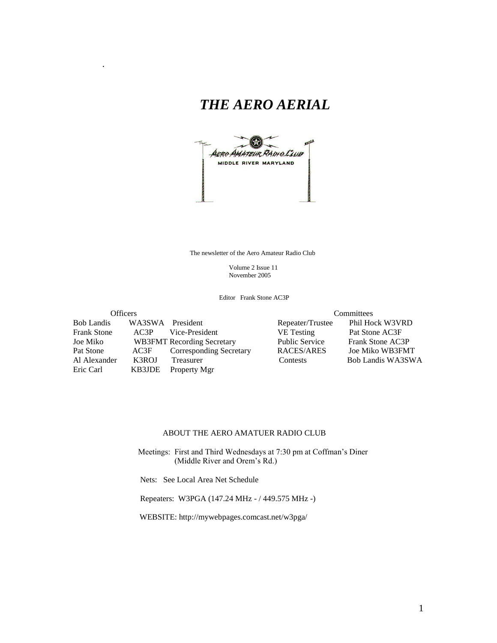# *THE AERO AERIAL*



The newsletter of the Aero Amateur Radio Club

 Volume 2 Issue 11 November 2005

Editor Frank Stone AC3P

Bob Landis WA3SWA President Repeater/Trustee Frank Stone AC3P Vice-President VE Testing Pat Stone AC3F Joe Miko WB3FMT Recording Secretary Public Service Frank Stone AC3P Pat Stone AC3F Corresponding Secretary RACES/ARES Al Alexander K3ROJ Treasurer Contests Bob Landis WA3SWA

.

Eric Carl KB3JDE Property Mgr

Officers<br>
Committees<br>
WA3SWA President<br>
Committee Phil Hock W3VRD

#### ABOUT THE AERO AMATUER RADIO CLUB

 Meetings: First and Third Wednesdays at 7:30 pm at Coffman's Diner (Middle River and Orem's Rd.)

Nets: See Local Area Net Schedule

Repeaters: W3PGA (147.24 MHz - / 449.575 MHz -)

WEBSITE: http://mywebpages.comcast.net/w3pga/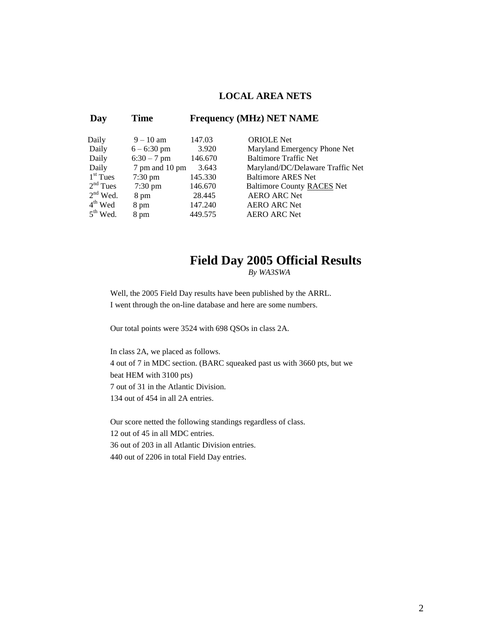## **LOCAL AREA NETS**

| Day           | Time              |         | <b>Frequency (MHz) NET NAME</b>   |
|---------------|-------------------|---------|-----------------------------------|
| Daily         | $9 - 10$ am       | 147.03  | <b>ORIOLE</b> Net                 |
| Daily         | $6 - 6:30$ pm     | 3.920   | Maryland Emergency Phone Net      |
| Daily         | $6:30 - 7$ pm     | 146.670 | <b>Baltimore Traffic Net</b>      |
| Daily         | 7 pm and 10 pm    | 3.643   | Maryland/DC/Delaware Traffic Net  |
| $1st$ Tues    | $7:30 \text{ pm}$ | 145.330 | <b>Baltimore ARES Net</b>         |
| $2nd$ Tues    | $7:30 \text{ pm}$ | 146.670 | <b>Baltimore County RACES Net</b> |
| $2nd$ Wed.    | 8 pm              | 28.445  | <b>AERO ARC Net</b>               |
| $4th$ Wed     | 8 pm              | 147.240 | <b>AERO ARC Net</b>               |
| $5^{th}$ Wed. | 8 pm              | 449.575 | <b>AERO ARC Net</b>               |

# **Field Day 2005 Official Results**

*By WA3SWA*

Well, the 2005 Field Day results have been published by the ARRL. I went through the on-line database and here are some numbers.

Our total points were 3524 with 698 QSOs in class 2A.

In class 2A, we placed as follows. 4 out of 7 in MDC section. (BARC squeaked past us with 3660 pts, but we beat HEM with 3100 pts) 7 out of 31 in the Atlantic Division. 134 out of 454 in all 2A entries.

Our score netted the following standings regardless of class. 12 out of 45 in all MDC entries. 36 out of 203 in all Atlantic Division entries. 440 out of 2206 in total Field Day entries.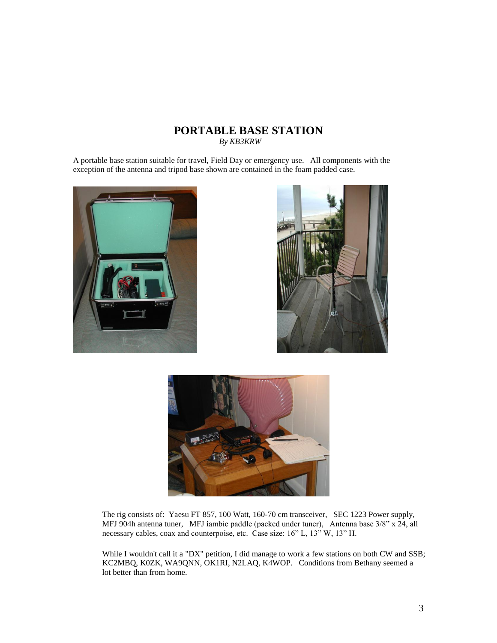# **PORTABLE BASE STATION**

*By KB3KRW*

A portable base station suitable for travel, Field Day or emergency use. All components with the exception of the antenna and tripod base shown are contained in the foam padded case.







The rig consists of: Yaesu FT 857, 100 Watt, 160-70 cm transceiver, SEC 1223 Power supply, MFJ 904h antenna tuner, MFJ iambic paddle (packed under tuner), Antenna base 3/8" x 24, all necessary cables, coax and counterpoise, etc. Case size: 16" L, 13" W, 13" H.

While I wouldn't call it a "DX" petition, I did manage to work a few stations on both CW and SSB; KC2MBQ, K0ZK, WA9QNN, OK1RI, N2LAQ, K4WOP. Conditions from Bethany seemed a lot better than from home.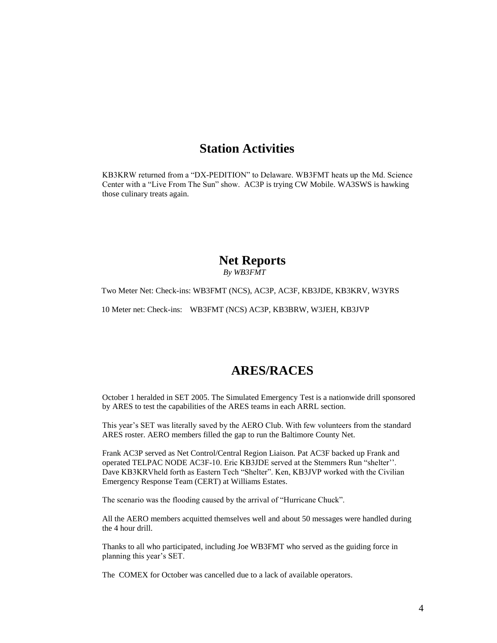## **Station Activities**

KB3KRW returned from a "DX-PEDITION" to Delaware. WB3FMT heats up the Md. Science Center with a "Live From The Sun" show. AC3P is trying CW Mobile. WA3SWS is hawking those culinary treats again.

#### **Net Reports**  *By WB3FMT*

Two Meter Net: Check-ins: WB3FMT (NCS), AC3P, AC3F, KB3JDE, KB3KRV, W3YRS

10 Meter net: Check-ins: WB3FMT (NCS) AC3P, KB3BRW, W3JEH, KB3JVP

## **ARES/RACES**

October 1 heralded in SET 2005. The Simulated Emergency Test is a nationwide drill sponsored by ARES to test the capabilities of the ARES teams in each ARRL section.

This year's SET was literally saved by the AERO Club. With few volunteers from the standard ARES roster. AERO members filled the gap to run the Baltimore County Net.

Frank AC3P served as Net Control/Central Region Liaison. Pat AC3F backed up Frank and operated TELPAC NODE AC3F-10. Eric KB3JDE served at the Stemmers Run "shelter''. Dave KB3KRVheld forth as Eastern Tech "Shelter". Ken, KB3JVP worked with the Civilian Emergency Response Team (CERT) at Williams Estates.

The scenario was the flooding caused by the arrival of "Hurricane Chuck".

All the AERO members acquitted themselves well and about 50 messages were handled during the 4 hour drill.

Thanks to all who participated, including Joe WB3FMT who served as the guiding force in planning this year's SET.

The COMEX for October was cancelled due to a lack of available operators.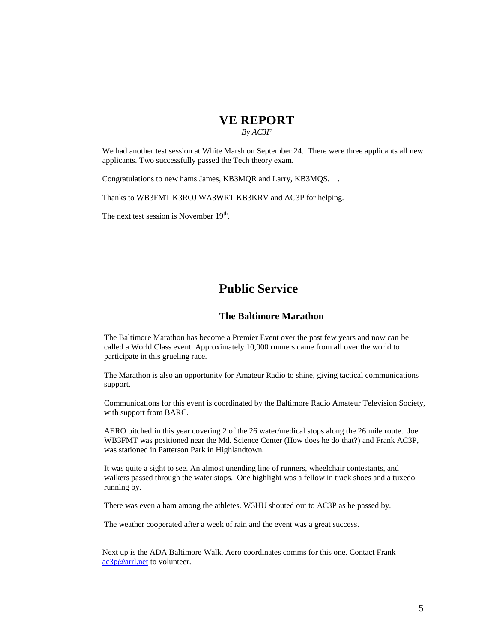# **VE REPORT**

 *By AC3F*

We had another test session at White Marsh on September 24. There were three applicants all new applicants. Two successfully passed the Tech theory exam.

Congratulations to new hams James, KB3MQR and Larry, KB3MQS. .

Thanks to WB3FMT K3ROJ WA3WRT KB3KRV and AC3P for helping.

The next test session is November 19<sup>th</sup>.

# **Public Service**

#### **The Baltimore Marathon**

The Baltimore Marathon has become a Premier Event over the past few years and now can be called a World Class event. Approximately 10,000 runners came from all over the world to participate in this grueling race.

The Marathon is also an opportunity for Amateur Radio to shine, giving tactical communications support.

Communications for this event is coordinated by the Baltimore Radio Amateur Television Society, with support from BARC.

AERO pitched in this year covering 2 of the 26 water/medical stops along the 26 mile route. Joe WB3FMT was positioned near the Md. Science Center (How does he do that?) and Frank AC3P, was stationed in Patterson Park in Highlandtown.

It was quite a sight to see. An almost unending line of runners, wheelchair contestants, and walkers passed through the water stops. One highlight was a fellow in track shoes and a tuxedo running by.

There was even a ham among the athletes. W3HU shouted out to AC3P as he passed by.

The weather cooperated after a week of rain and the event was a great success.

Next up is the ADA Baltimore Walk. Aero coordinates comms for this one. Contact Frank [ac3p@arrl.net](mailto:ac3p@arrl.net) to volunteer.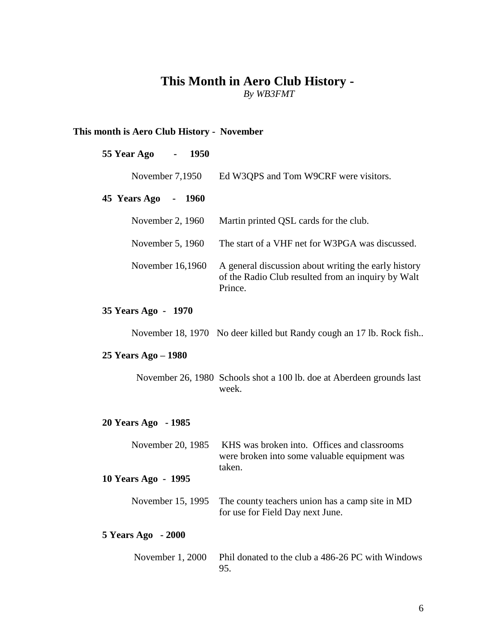# **This Month in Aero Club History -**

*By WB3FMT*

### **This month is Aero Club History - November**

### **55 Year Ago - 1950**

| November $7,1950$                      | Ed W3QPS and Tom W9CRF were visitors.                                                                                 |
|----------------------------------------|-----------------------------------------------------------------------------------------------------------------------|
| 45 Years Ago<br>1960<br>$\blacksquare$ |                                                                                                                       |
| November 2, 1960                       | Martin printed QSL cards for the club.                                                                                |
| November 5, 1960                       | The start of a VHF net for W3PGA was discussed.                                                                       |
| November 16,1960                       | A general discussion about writing the early history<br>of the Radio Club resulted from an inquiry by Walt<br>Prince. |

### **35 Years Ago - 1970**

November 18, 1970 No deer killed but Randy cough an 17 lb. Rock fish..

### **25 Years Ago – 1980**

November 26, 1980 Schools shot a 100 lb. doe at Aberdeen grounds last week.

### **20 Years Ago - 1985**

| November 20, 1985   | KHS was broken into. Offices and classrooms<br>were broken into some valuable equipment was<br>taken. |
|---------------------|-------------------------------------------------------------------------------------------------------|
| 10 Years Ago - 1995 |                                                                                                       |
| November 15, 1995   | The county teachers union has a camp site in MD<br>for use for Field Day next June.                   |
| 5 Years Ago - 2000  |                                                                                                       |
| November 1, 2000    | Phil donated to the club a 486-26 PC with Windows                                                     |

95.